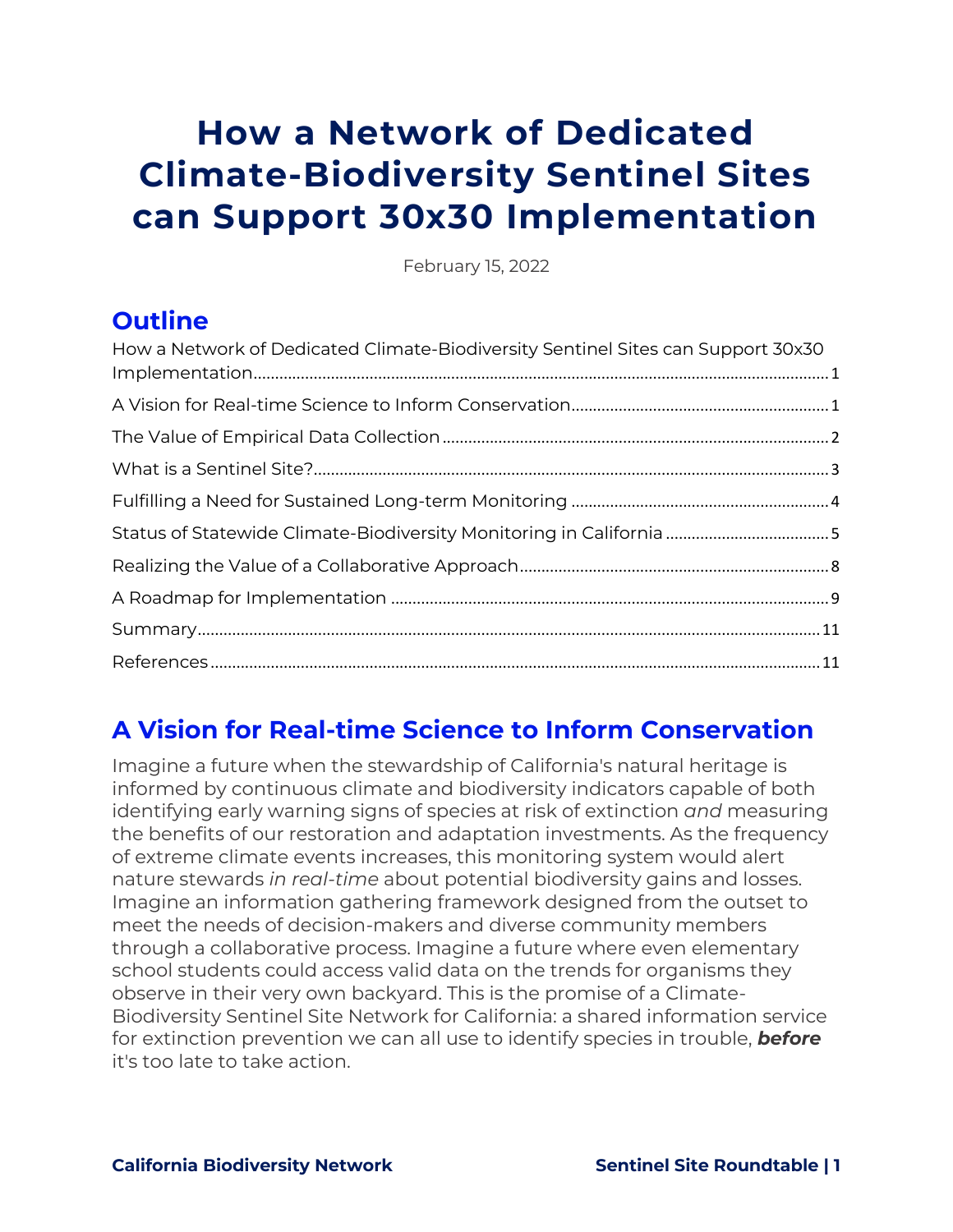# <span id="page-0-0"></span>**How a Network of Dedicated Climate-Biodiversity Sentinel Sites can Support 30x30 Implementation**

February 15, 2022

### **Outline**

| How a Network of Dedicated Climate-Biodiversity Sentinel Sites can Support 30x30 |  |
|----------------------------------------------------------------------------------|--|
|                                                                                  |  |
|                                                                                  |  |
|                                                                                  |  |
|                                                                                  |  |
|                                                                                  |  |
|                                                                                  |  |
|                                                                                  |  |
|                                                                                  |  |
|                                                                                  |  |

## <span id="page-0-1"></span>**A Vision for Real-time Science to Inform Conservation**

Imagine a future when the stewardship of California's natural heritage is informed by continuous climate and biodiversity indicators capable of both identifying early warning signs of species at risk of extinction *and* measuring the benefits of our restoration and adaptation investments. As the frequency of extreme climate events increases, this monitoring system would alert nature stewards *in real-time* about potential biodiversity gains and losses. Imagine an information gathering framework designed from the outset to meet the needs of decision-makers and diverse community members through a collaborative process. Imagine a future where even elementary school students could access valid data on the trends for organisms they observe in their very own backyard. This is the promise of a Climate-Biodiversity Sentinel Site Network for California: a shared information service for extinction prevention we can all use to identify species in trouble, *before* it's too late to take action.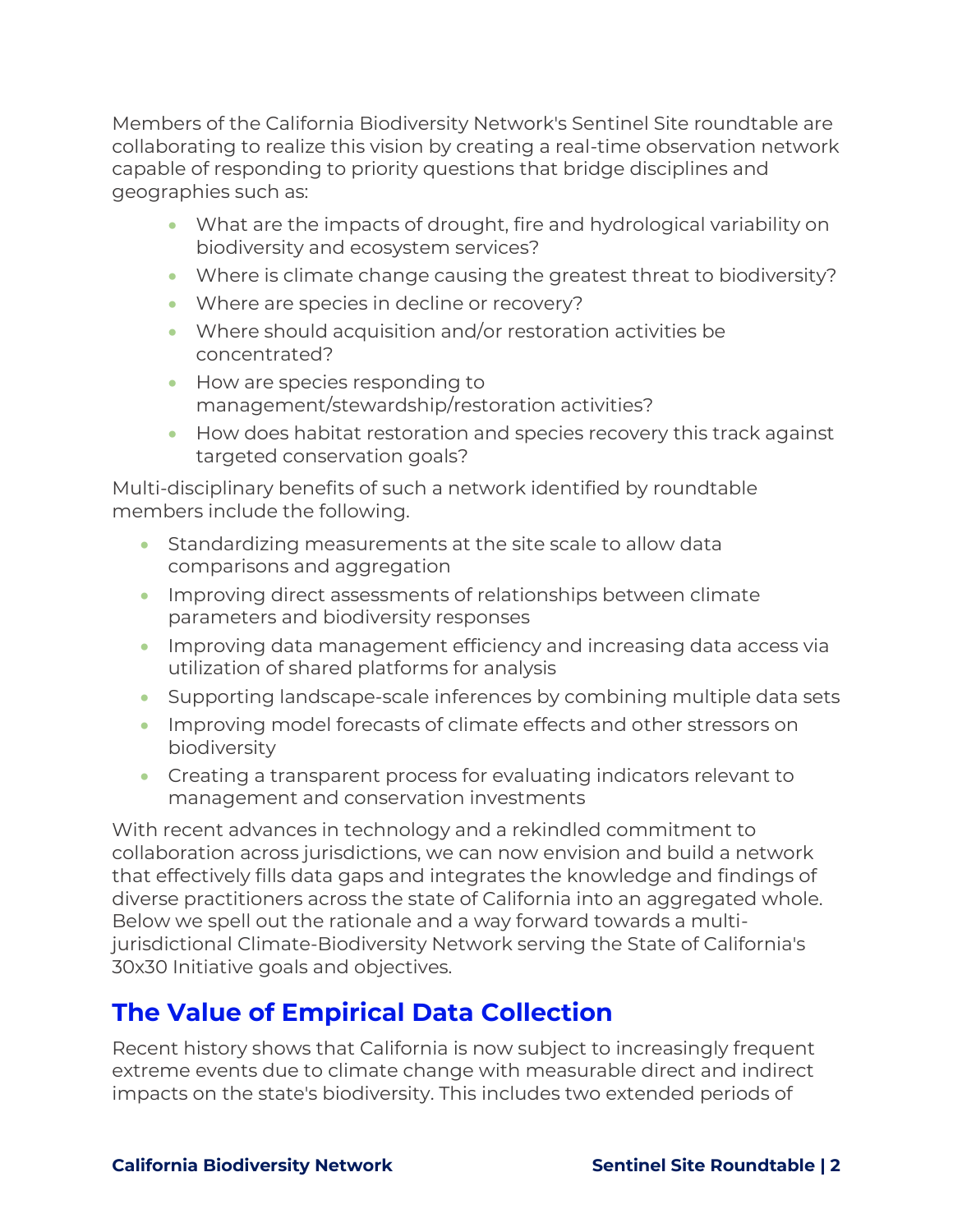Members of the California Biodiversity Network's Sentinel Site roundtable are collaborating to realize this vision by creating a real-time observation network capable of responding to priority questions that bridge disciplines and geographies such as:

- What are the impacts of drought, fire and hydrological variability on biodiversity and ecosystem services?
- Where is climate change causing the greatest threat to biodiversity?
- Where are species in decline or recovery?
- Where should acquisition and/or restoration activities be concentrated?
- How are species responding to management/stewardship/restoration activities?
- How does habitat restoration and species recovery this track against targeted conservation goals?

Multi-disciplinary benefits of such a network identified by roundtable members include the following.

- Standardizing measurements at the site scale to allow data comparisons and aggregation
- Improving direct assessments of relationships between climate parameters and biodiversity responses
- Improving data management efficiency and increasing data access via utilization of shared platforms for analysis
- Supporting landscape-scale inferences by combining multiple data sets
- Improving model forecasts of climate effects and other stressors on biodiversity
- Creating a transparent process for evaluating indicators relevant to management and conservation investments

With recent advances in technology and a rekindled commitment to collaboration across jurisdictions, we can now envision and build a network that effectively fills data gaps and integrates the knowledge and findings of diverse practitioners across the state of California into an aggregated whole. Below we spell out the rationale and a way forward towards a multijurisdictional Climate-Biodiversity Network serving the State of California's 30x30 Initiative goals and objectives.

## <span id="page-1-0"></span>**The Value of Empirical Data Collection**

Recent history shows that California is now subject to increasingly frequent extreme events due to climate change with measurable direct and indirect impacts on the state's biodiversity. This includes two extended periods of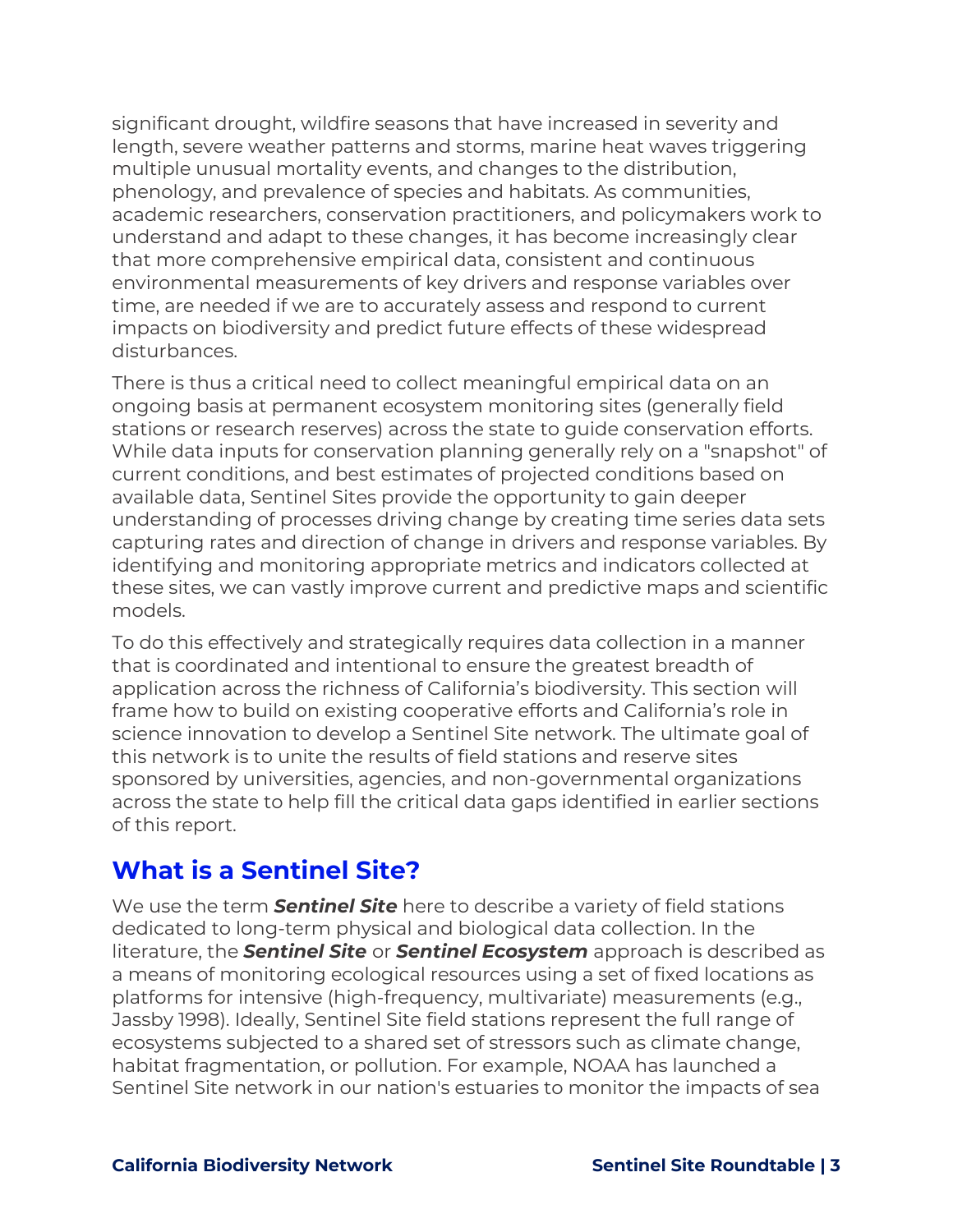significant drought, wildfire seasons that have increased in severity and length, severe weather patterns and storms, marine heat waves triggering multiple unusual mortality events, and changes to the distribution, phenology, and prevalence of species and habitats. As communities, academic researchers, conservation practitioners, and policymakers work to understand and adapt to these changes, it has become increasingly clear that more comprehensive empirical data, consistent and continuous environmental measurements of key drivers and response variables over time, are needed if we are to accurately assess and respond to current impacts on biodiversity and predict future effects of these widespread disturbances.

There is thus a critical need to collect meaningful empirical data on an ongoing basis at permanent ecosystem monitoring sites (generally field stations or research reserves) across the state to guide conservation efforts. While data inputs for conservation planning generally rely on a "snapshot" of current conditions, and best estimates of projected conditions based on available data, Sentinel Sites provide the opportunity to gain deeper understanding of processes driving change by creating time series data sets capturing rates and direction of change in drivers and response variables. By identifying and monitoring appropriate metrics and indicators collected at these sites, we can vastly improve current and predictive maps and scientific models.

To do this effectively and strategically requires data collection in a manner that is coordinated and intentional to ensure the greatest breadth of application across the richness of California's biodiversity. This section will frame how to build on existing cooperative efforts and California's role in science innovation to develop a Sentinel Site network. The ultimate goal of this network is to unite the results of field stations and reserve sites sponsored by universities, agencies, and non-governmental organizations across the state to help fill the critical data gaps identified in earlier sections of this report.

### <span id="page-2-0"></span>**What is a Sentinel Site?**

We use the term *Sentinel Site* here to describe a variety of field stations dedicated to long-term physical and biological data collection. In the literature, the *Sentinel Site* or *Sentinel Ecosystem* approach is described as a means of monitoring ecological resources using a set of fixed locations as platforms for intensive (high-frequency, multivariate) measurements (e.g., Jassby 1998). Ideally, Sentinel Site field stations represent the full range of ecosystems subjected to a shared set of stressors such as climate change, habitat fragmentation, or pollution. For example, NOAA has launched a Sentinel Site network in our nation's estuaries to monitor the impacts of sea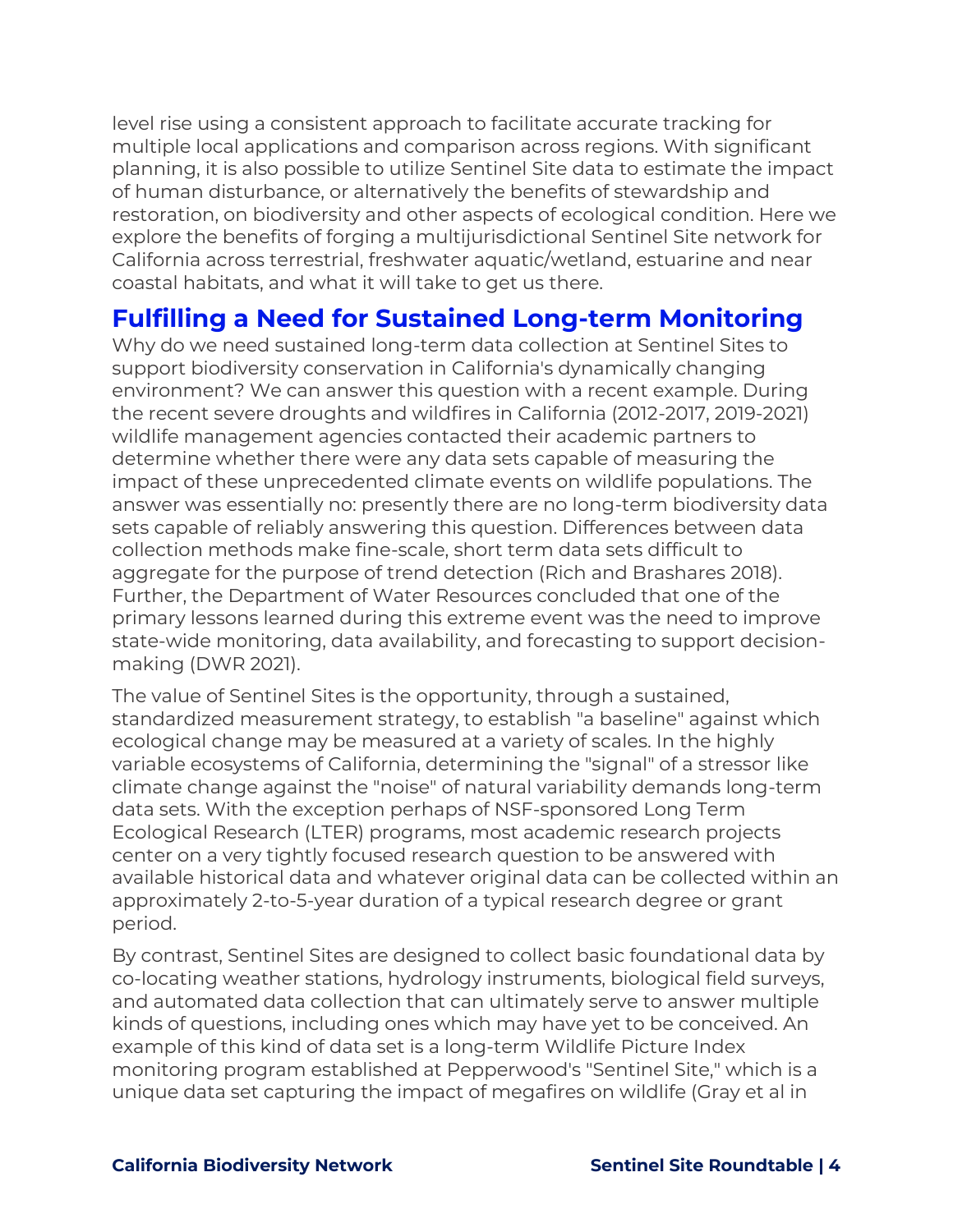level rise using a consistent approach to facilitate accurate tracking for multiple local applications and comparison across regions. With significant planning, it is also possible to utilize Sentinel Site data to estimate the impact of human disturbance, or alternatively the benefits of stewardship and restoration, on biodiversity and other aspects of ecological condition. Here we explore the benefits of forging a multijurisdictional Sentinel Site network for California across terrestrial, freshwater aquatic/wetland, estuarine and near coastal habitats, and what it will take to get us there.

### <span id="page-3-0"></span>**Fulfilling a Need for Sustained Long-term Monitoring**

Why do we need sustained long-term data collection at Sentinel Sites to support biodiversity conservation in California's dynamically changing environment? We can answer this question with a recent example. During the recent severe droughts and wildfires in California (2012-2017, 2019-2021) wildlife management agencies contacted their academic partners to determine whether there were any data sets capable of measuring the impact of these unprecedented climate events on wildlife populations. The answer was essentially no: presently there are no long-term biodiversity data sets capable of reliably answering this question. Differences between data collection methods make fine-scale, short term data sets difficult to aggregate for the purpose of trend detection (Rich and Brashares 2018). Further, the Department of Water Resources concluded that one of the primary lessons learned during this extreme event was the need to improve state-wide monitoring, data availability, and forecasting to support decisionmaking (DWR 2021).

The value of Sentinel Sites is the opportunity, through a sustained, standardized measurement strategy, to establish "a baseline" against which ecological change may be measured at a variety of scales. In the highly variable ecosystems of California, determining the "signal" of a stressor like climate change against the "noise" of natural variability demands long-term data sets. With the exception perhaps of NSF-sponsored Long Term Ecological Research (LTER) programs, most academic research projects center on a very tightly focused research question to be answered with available historical data and whatever original data can be collected within an approximately 2-to-5-year duration of a typical research degree or grant period.

By contrast, Sentinel Sites are designed to collect basic foundational data by co-locating weather stations, hydrology instruments, biological field surveys, and automated data collection that can ultimately serve to answer multiple kinds of questions, including ones which may have yet to be conceived. An example of this kind of data set is a long-term Wildlife Picture Index monitoring program established at Pepperwood's "Sentinel Site," which is a unique data set capturing the impact of megafires on wildlife (Gray et al in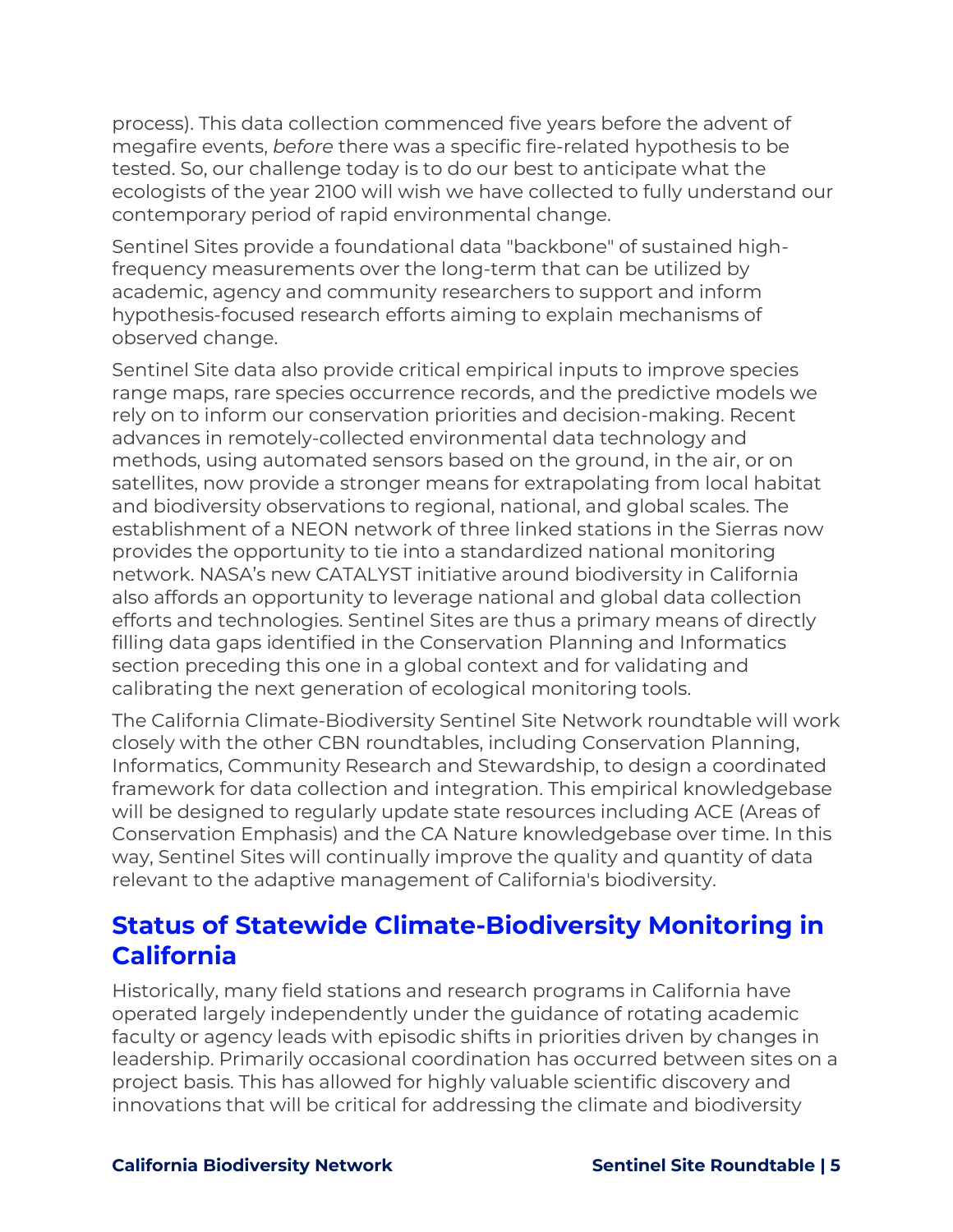process). This data collection commenced five years before the advent of megafire events, *before* there was a specific fire-related hypothesis to be tested. So, our challenge today is to do our best to anticipate what the ecologists of the year 2100 will wish we have collected to fully understand our contemporary period of rapid environmental change.

Sentinel Sites provide a foundational data "backbone" of sustained highfrequency measurements over the long-term that can be utilized by academic, agency and community researchers to support and inform hypothesis-focused research efforts aiming to explain mechanisms of observed change.

Sentinel Site data also provide critical empirical inputs to improve species range maps, rare species occurrence records, and the predictive models we rely on to inform our conservation priorities and decision-making. Recent advances in remotely-collected environmental data technology and methods, using automated sensors based on the ground, in the air, or on satellites, now provide a stronger means for extrapolating from local habitat and biodiversity observations to regional, national, and global scales. The establishment of a NEON network of three linked stations in the Sierras now provides the opportunity to tie into a standardized national monitoring network. NASA's new CATALYST initiative around biodiversity in California also affords an opportunity to leverage national and global data collection efforts and technologies. Sentinel Sites are thus a primary means of directly filling data gaps identified in the Conservation Planning and Informatics section preceding this one in a global context and for validating and calibrating the next generation of ecological monitoring tools.

The California Climate-Biodiversity Sentinel Site Network roundtable will work closely with the other CBN roundtables, including Conservation Planning, Informatics, Community Research and Stewardship, to design a coordinated framework for data collection and integration. This empirical knowledgebase will be designed to regularly update state resources including ACE (Areas of Conservation Emphasis) and the CA Nature knowledgebase over time. In this way, Sentinel Sites will continually improve the quality and quantity of data relevant to the adaptive management of California's biodiversity.

### <span id="page-4-0"></span>**Status of Statewide Climate-Biodiversity Monitoring in California**

Historically, many field stations and research programs in California have operated largely independently under the guidance of rotating academic faculty or agency leads with episodic shifts in priorities driven by changes in leadership. Primarily occasional coordination has occurred between sites on a project basis. This has allowed for highly valuable scientific discovery and innovations that will be critical for addressing the climate and biodiversity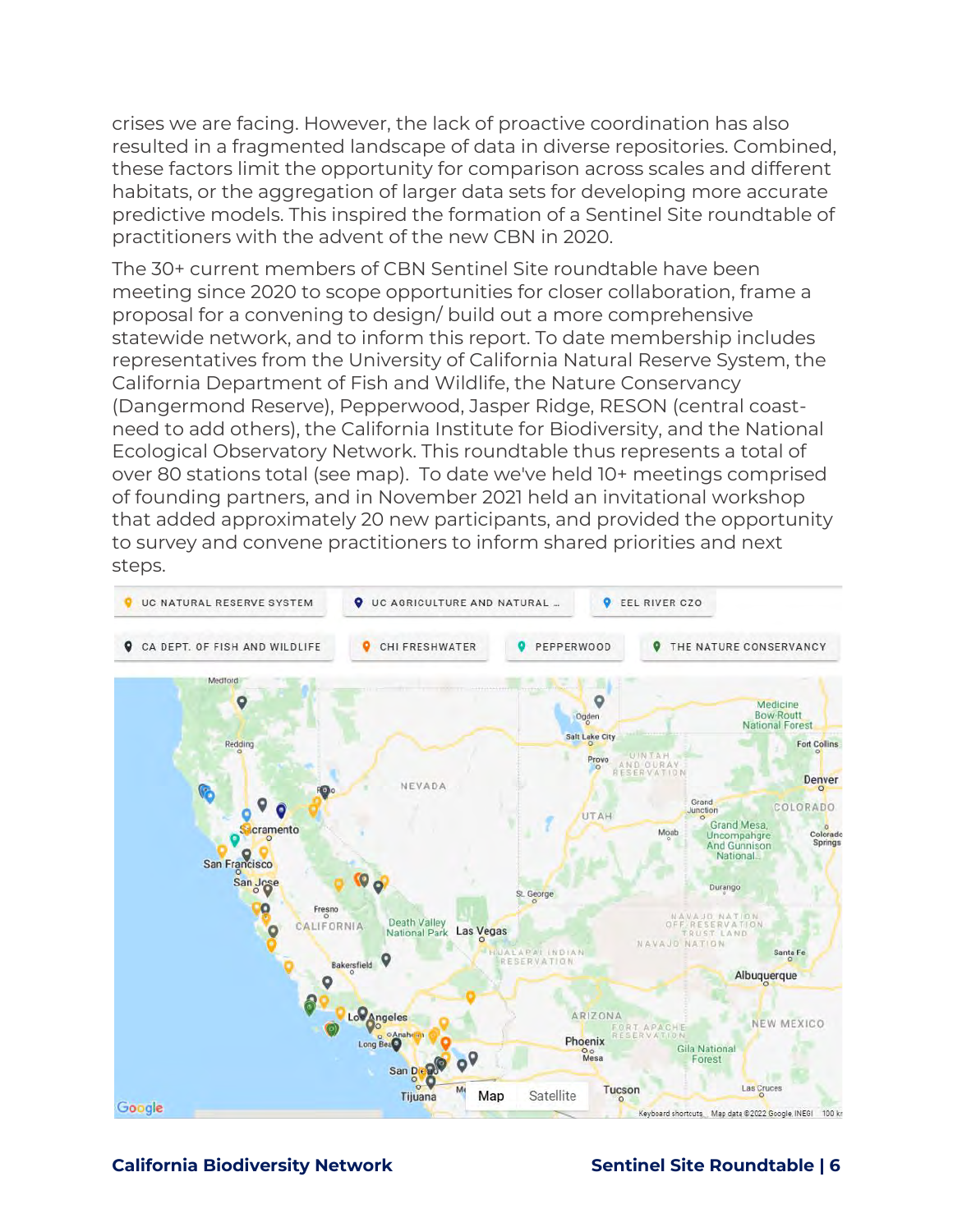crises we are facing. However, the lack of proactive coordination has also resulted in a fragmented landscape of data in diverse repositories. Combined, these factors limit the opportunity for comparison across scales and different habitats, or the aggregation of larger data sets for developing more accurate predictive models. This inspired the formation of a Sentinel Site roundtable of practitioners with the advent of the new CBN in 2020.

The 30+ current members of CBN Sentinel Site roundtable have been meeting since 2020 to scope opportunities for closer collaboration, frame a proposal for a convening to design/ build out a more comprehensive statewide network, and to inform this report. To date membership includes representatives from the University of California Natural Reserve System, the California Department of Fish and Wildlife, the Nature Conservancy (Dangermond Reserve), Pepperwood, Jasper Ridge, RESON (central coastneed to add others), the California Institute for Biodiversity, and the National Ecological Observatory Network. This roundtable thus represents a total of over 80 stations total (see map). To date we've held 10+ meetings comprised of founding partners, and in November 2021 held an invitational workshop that added approximately 20 new participants, and provided the opportunity to survey and convene practitioners to inform shared priorities and next steps.



### **California Biodiversity Network Sentinel Site Roundtable | 6**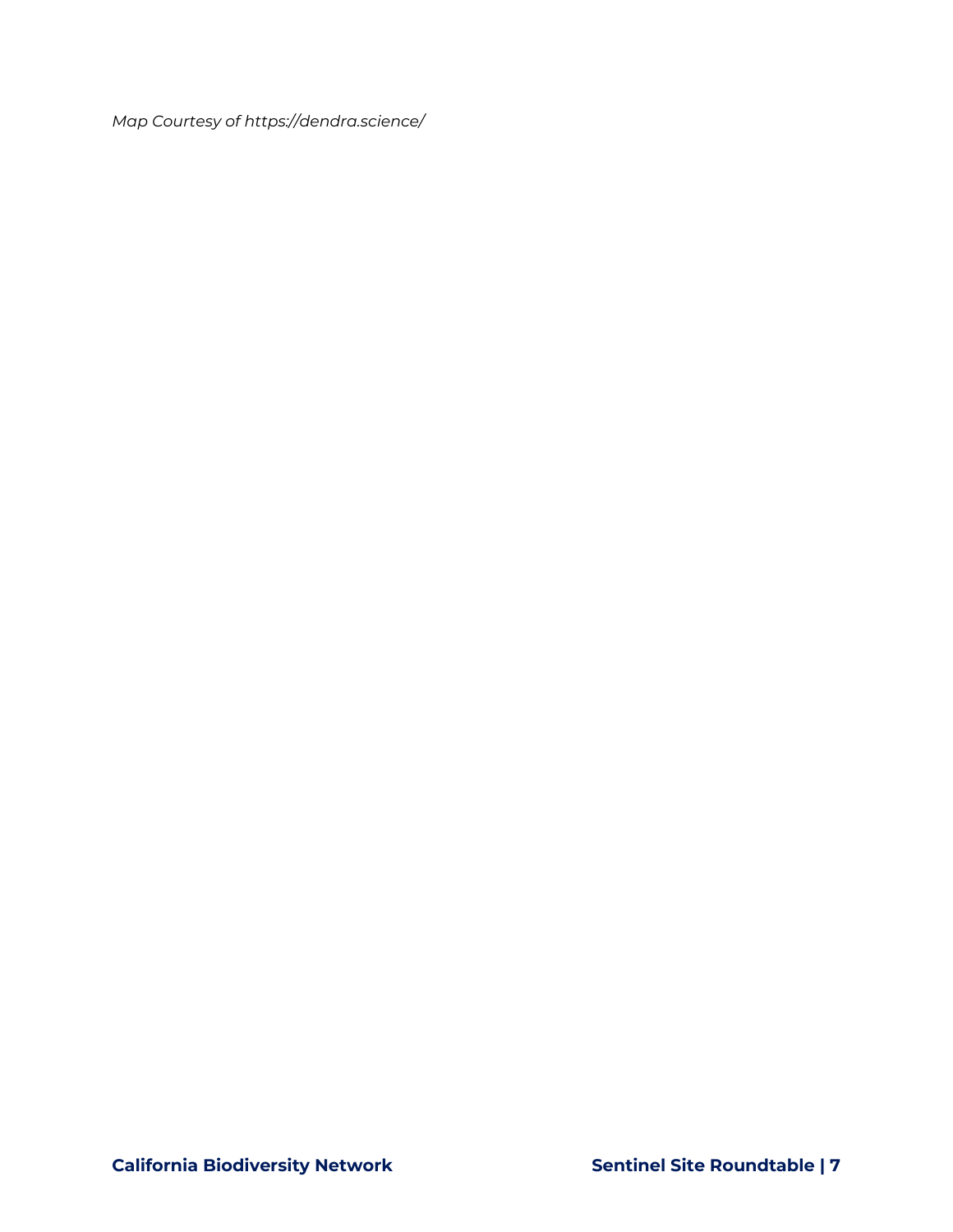*Map Courtesy of https://dendra.science/*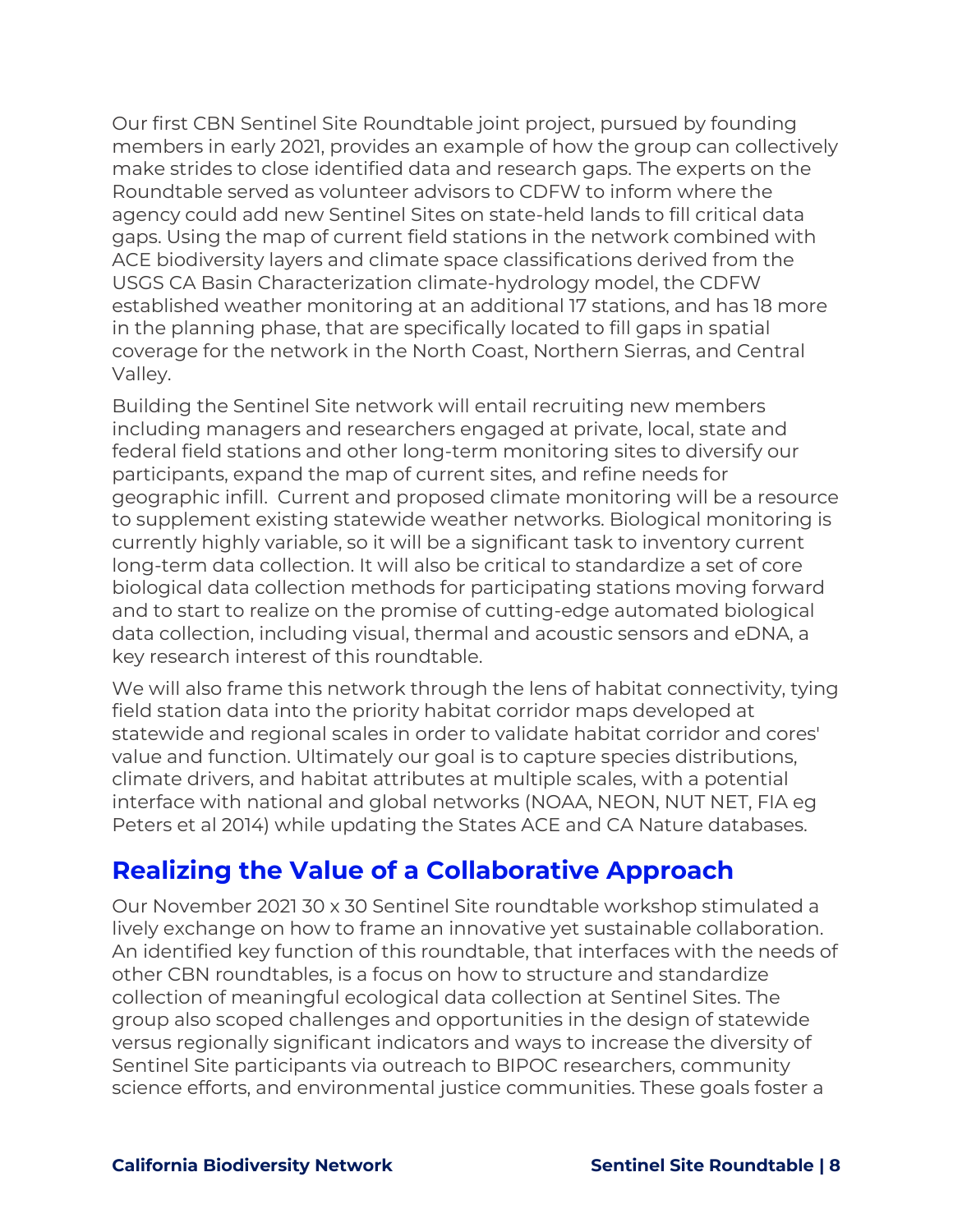Our first CBN Sentinel Site Roundtable joint project, pursued by founding members in early 2021, provides an example of how the group can collectively make strides to close identified data and research gaps. The experts on the Roundtable served as volunteer advisors to CDFW to inform where the agency could add new Sentinel Sites on state-held lands to fill critical data gaps. Using the map of current field stations in the network combined with ACE biodiversity layers and climate space classifications derived from the USGS CA Basin Characterization climate-hydrology model, the CDFW established weather monitoring at an additional 17 stations, and has 18 more in the planning phase, that are specifically located to fill gaps in spatial coverage for the network in the North Coast, Northern Sierras, and Central Valley.

Building the Sentinel Site network will entail recruiting new members including managers and researchers engaged at private, local, state and federal field stations and other long-term monitoring sites to diversify our participants, expand the map of current sites, and refine needs for geographic infill. Current and proposed climate monitoring will be a resource to supplement existing statewide weather networks. Biological monitoring is currently highly variable, so it will be a significant task to inventory current long-term data collection. It will also be critical to standardize a set of core biological data collection methods for participating stations moving forward and to start to realize on the promise of cutting-edge automated biological data collection, including visual, thermal and acoustic sensors and eDNA, a key research interest of this roundtable.

We will also frame this network through the lens of habitat connectivity, tying field station data into the priority habitat corridor maps developed at statewide and regional scales in order to validate habitat corridor and cores' value and function. Ultimately our goal is to capture species distributions, climate drivers, and habitat attributes at multiple scales, with a potential interface with national and global networks (NOAA, NEON, NUT NET, FIA eg Peters et al 2014) while updating the States ACE and CA Nature databases.

### <span id="page-7-0"></span>**Realizing the Value of a Collaborative Approach**

Our November 2021 30 x 30 Sentinel Site roundtable workshop stimulated a lively exchange on how to frame an innovative yet sustainable collaboration. An identified key function of this roundtable, that interfaces with the needs of other CBN roundtables, is a focus on how to structure and standardize collection of meaningful ecological data collection at Sentinel Sites. The group also scoped challenges and opportunities in the design of statewide versus regionally significant indicators and ways to increase the diversity of Sentinel Site participants via outreach to BIPOC researchers, community science efforts, and environmental justice communities. These goals foster a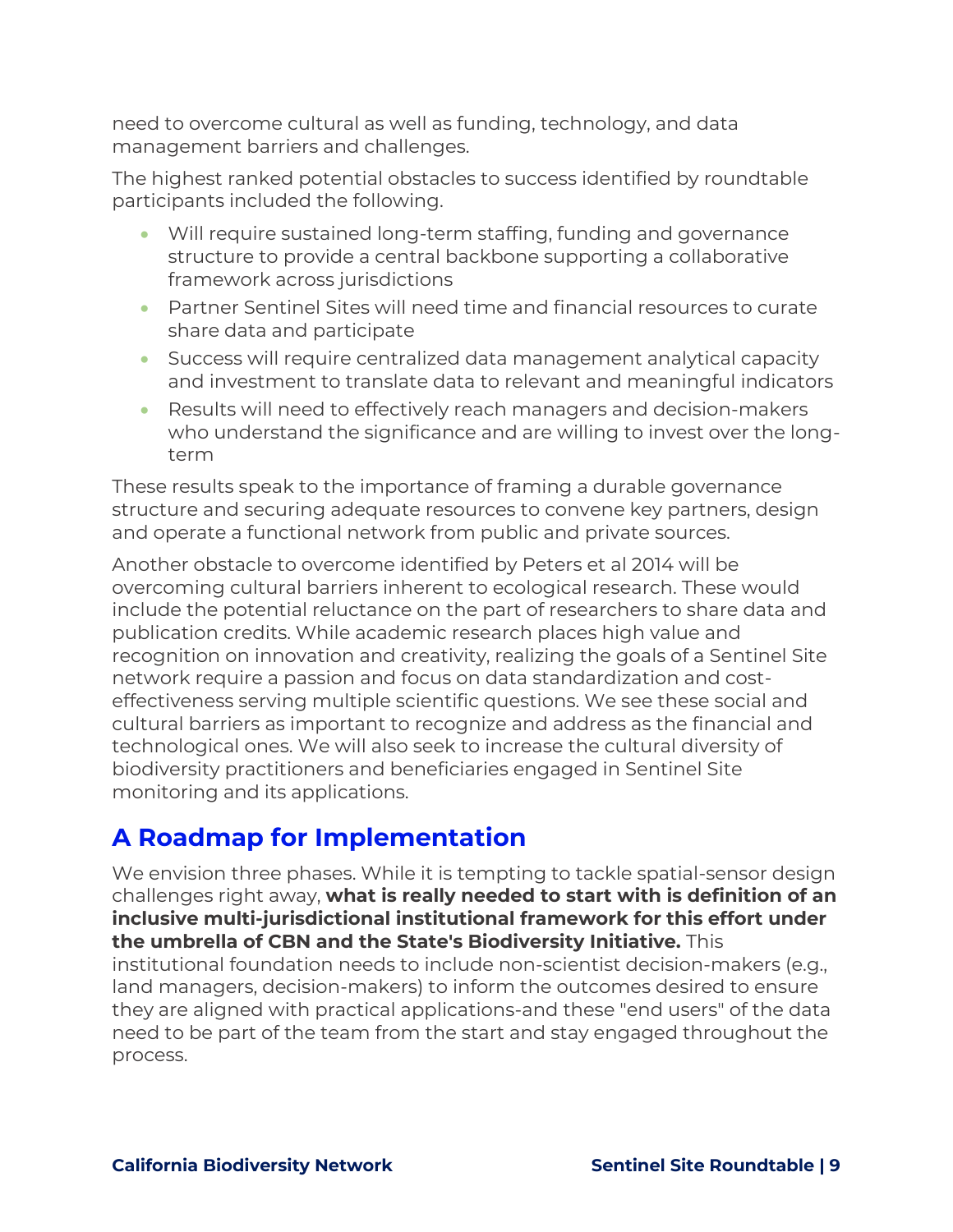need to overcome cultural as well as funding, technology, and data management barriers and challenges.

The highest ranked potential obstacles to success identified by roundtable participants included the following.

- Will require sustained long-term staffing, funding and governance structure to provide a central backbone supporting a collaborative framework across jurisdictions
- Partner Sentinel Sites will need time and financial resources to curate share data and participate
- Success will require centralized data management analytical capacity and investment to translate data to relevant and meaningful indicators
- Results will need to effectively reach managers and decision-makers who understand the significance and are willing to invest over the longterm

These results speak to the importance of framing a durable governance structure and securing adequate resources to convene key partners, design and operate a functional network from public and private sources.

Another obstacle to overcome identified by Peters et al 2014 will be overcoming cultural barriers inherent to ecological research. These would include the potential reluctance on the part of researchers to share data and publication credits. While academic research places high value and recognition on innovation and creativity, realizing the goals of a Sentinel Site network require a passion and focus on data standardization and costeffectiveness serving multiple scientific questions. We see these social and cultural barriers as important to recognize and address as the financial and technological ones. We will also seek to increase the cultural diversity of biodiversity practitioners and beneficiaries engaged in Sentinel Site monitoring and its applications.

## <span id="page-8-0"></span>**A Roadmap for Implementation**

We envision three phases. While it is tempting to tackle spatial-sensor design challenges right away, **what is really needed to start with is definition of an inclusive multi-jurisdictional institutional framework for this effort under the umbrella of CBN and the State's Biodiversity Initiative.** This institutional foundation needs to include non-scientist decision-makers (e.g., land managers, decision-makers) to inform the outcomes desired to ensure they are aligned with practical applications-and these "end users" of the data need to be part of the team from the start and stay engaged throughout the process.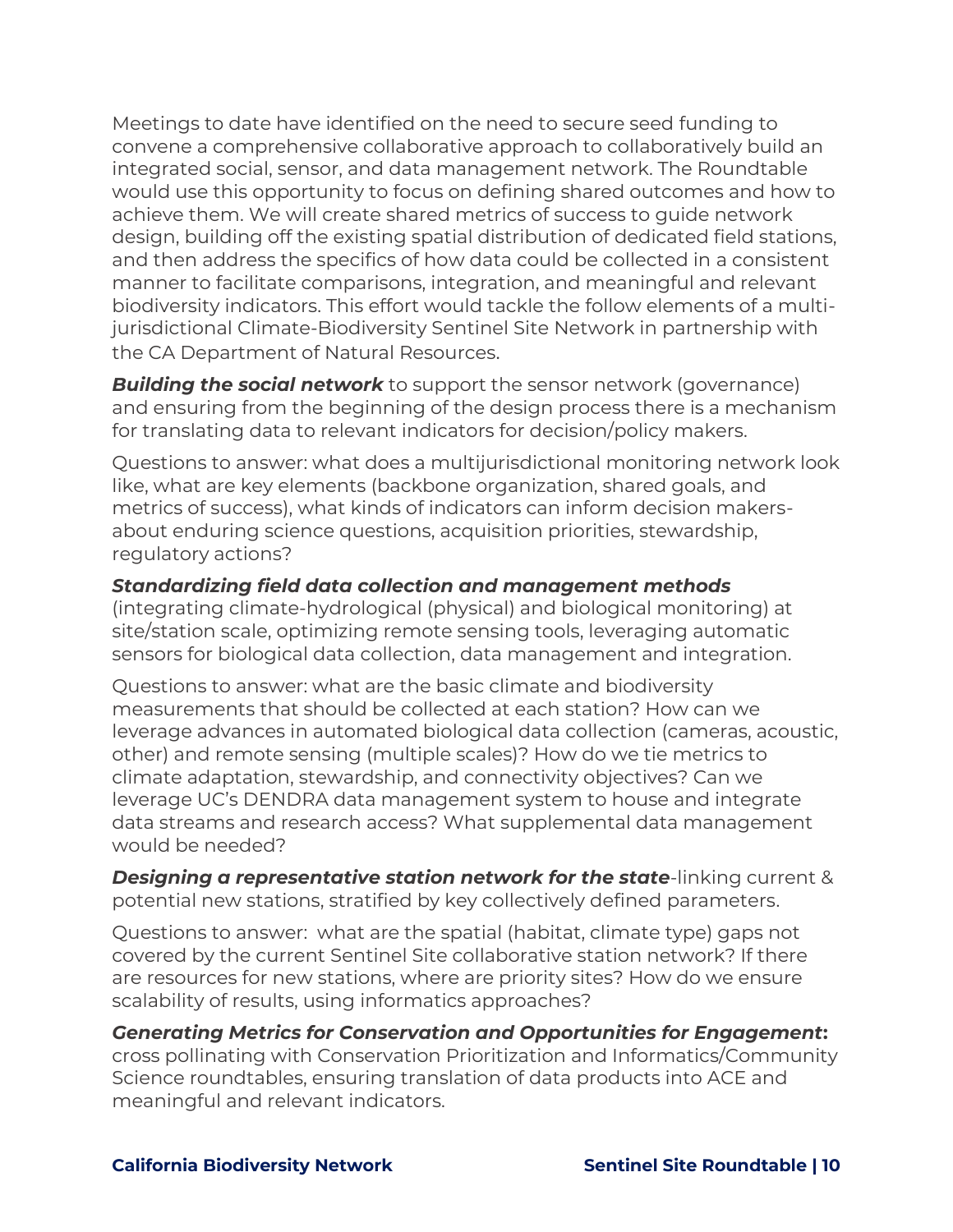Meetings to date have identified on the need to secure seed funding to convene a comprehensive collaborative approach to collaboratively build an integrated social, sensor, and data management network. The Roundtable would use this opportunity to focus on defining shared outcomes and how to achieve them. We will create shared metrics of success to guide network design, building off the existing spatial distribution of dedicated field stations, and then address the specifics of how data could be collected in a consistent manner to facilitate comparisons, integration, and meaningful and relevant biodiversity indicators. This effort would tackle the follow elements of a multijurisdictional Climate-Biodiversity Sentinel Site Network in partnership with the CA Department of Natural Resources.

**Building the social network** to support the sensor network (governance) and ensuring from the beginning of the design process there is a mechanism for translating data to relevant indicators for decision/policy makers.

Questions to answer: what does a multijurisdictional monitoring network look like, what are key elements (backbone organization, shared goals, and metrics of success), what kinds of indicators can inform decision makersabout enduring science questions, acquisition priorities, stewardship, regulatory actions?

### *Standardizing field data collection and management methods*

(integrating climate-hydrological (physical) and biological monitoring) at site/station scale, optimizing remote sensing tools, leveraging automatic sensors for biological data collection, data management and integration.

Questions to answer: what are the basic climate and biodiversity measurements that should be collected at each station? How can we leverage advances in automated biological data collection (cameras, acoustic, other) and remote sensing (multiple scales)? How do we tie metrics to climate adaptation, stewardship, and connectivity objectives? Can we leverage UC's DENDRA data management system to house and integrate data streams and research access? What supplemental data management would be needed?

*Designing a representative station network for the state*-linking current & potential new stations, stratified by key collectively defined parameters.

Questions to answer: what are the spatial (habitat, climate type) gaps not covered by the current Sentinel Site collaborative station network? If there are resources for new stations, where are priority sites? How do we ensure scalability of results, using informatics approaches?

### *Generating Metrics for Conservation and Opportunities for Engagement***:**

cross pollinating with Conservation Prioritization and Informatics/Community Science roundtables, ensuring translation of data products into ACE and meaningful and relevant indicators.